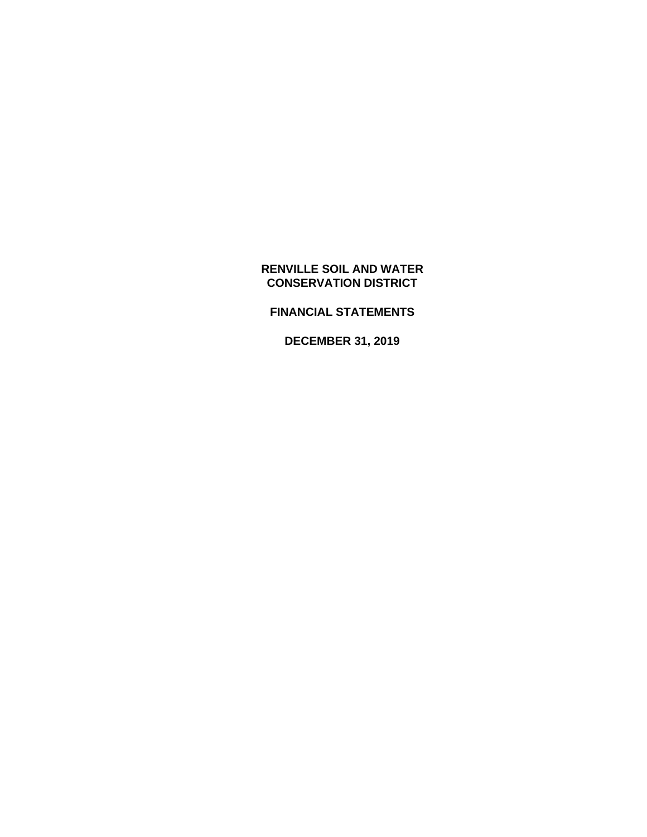# **RENVILLE SOIL AND WATER CONSERVATION DISTRICT**

**FINANCIAL STATEMENTS**

**DECEMBER 31, 2019**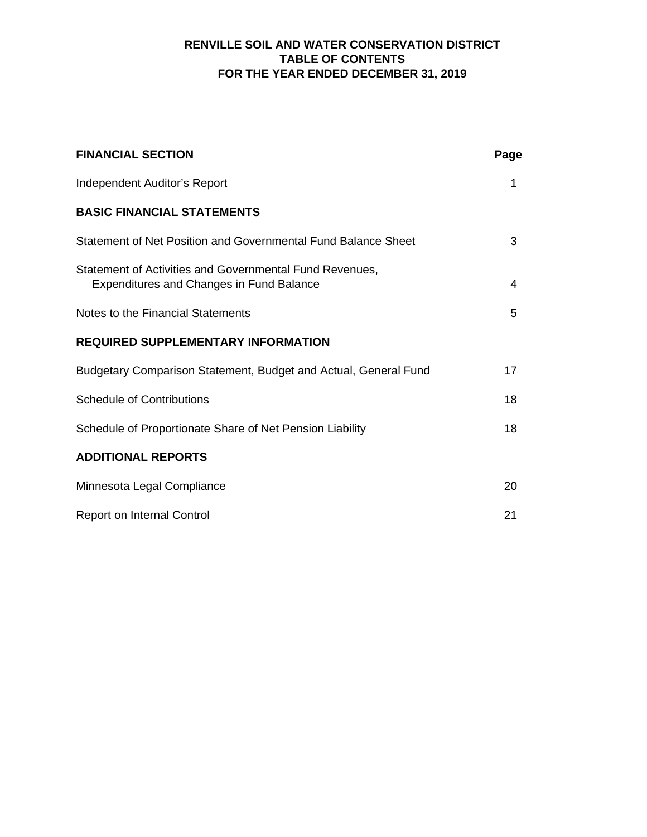# **RENVILLE SOIL AND WATER CONSERVATION DISTRICT TABLE OF CONTENTS FOR THE YEAR ENDED DECEMBER 31, 2019**

| <b>FINANCIAL SECTION</b>                                                                                   | Page |
|------------------------------------------------------------------------------------------------------------|------|
| Independent Auditor's Report                                                                               | 1    |
| <b>BASIC FINANCIAL STATEMENTS</b>                                                                          |      |
| Statement of Net Position and Governmental Fund Balance Sheet                                              | 3    |
| Statement of Activities and Governmental Fund Revenues,<br><b>Expenditures and Changes in Fund Balance</b> | 4    |
| Notes to the Financial Statements                                                                          | 5    |
| <b>REQUIRED SUPPLEMENTARY INFORMATION</b>                                                                  |      |
| Budgetary Comparison Statement, Budget and Actual, General Fund                                            | 17   |
| <b>Schedule of Contributions</b>                                                                           | 18   |
| Schedule of Proportionate Share of Net Pension Liability                                                   | 18   |
| <b>ADDITIONAL REPORTS</b>                                                                                  |      |
| Minnesota Legal Compliance                                                                                 | 20   |
| Report on Internal Control                                                                                 | 21   |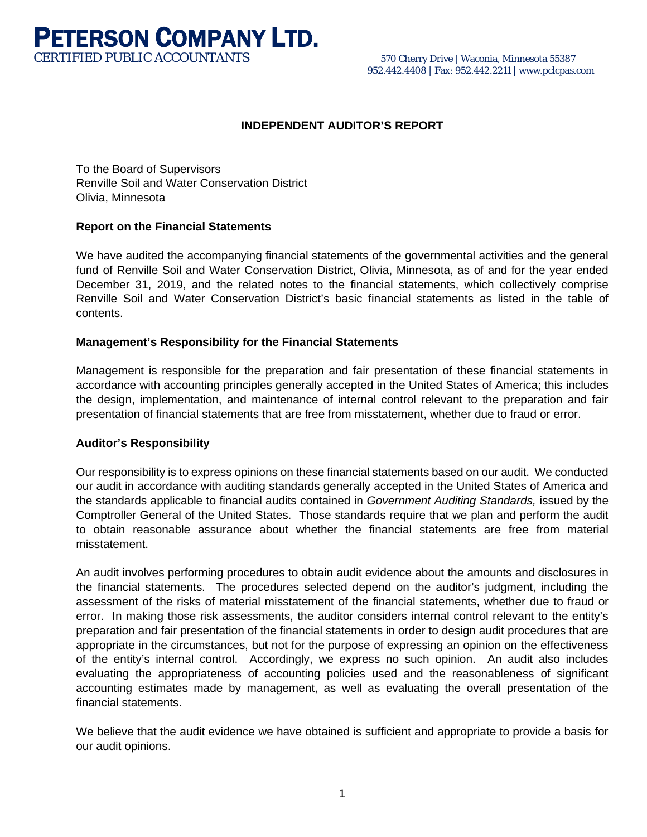## **INDEPENDENT AUDITOR'S REPORT**

To the Board of Supervisors Renville Soil and Water Conservation District Olivia, Minnesota

#### **Report on the Financial Statements**

We have audited the accompanying financial statements of the governmental activities and the general fund of Renville Soil and Water Conservation District, Olivia, Minnesota, as of and for the year ended December 31, 2019, and the related notes to the financial statements, which collectively comprise Renville Soil and Water Conservation District's basic financial statements as listed in the table of contents.

#### **Management's Responsibility for the Financial Statements**

Management is responsible for the preparation and fair presentation of these financial statements in accordance with accounting principles generally accepted in the United States of America; this includes the design, implementation, and maintenance of internal control relevant to the preparation and fair presentation of financial statements that are free from misstatement, whether due to fraud or error.

#### **Auditor's Responsibility**

Our responsibility is to express opinions on these financial statements based on our audit. We conducted our audit in accordance with auditing standards generally accepted in the United States of America and the standards applicable to financial audits contained in *Government Auditing Standards,* issued by the Comptroller General of the United States. Those standards require that we plan and perform the audit to obtain reasonable assurance about whether the financial statements are free from material misstatement.

An audit involves performing procedures to obtain audit evidence about the amounts and disclosures in the financial statements. The procedures selected depend on the auditor's judgment, including the assessment of the risks of material misstatement of the financial statements, whether due to fraud or error. In making those risk assessments, the auditor considers internal control relevant to the entity's preparation and fair presentation of the financial statements in order to design audit procedures that are appropriate in the circumstances, but not for the purpose of expressing an opinion on the effectiveness of the entity's internal control. Accordingly, we express no such opinion. An audit also includes evaluating the appropriateness of accounting policies used and the reasonableness of significant accounting estimates made by management, as well as evaluating the overall presentation of the financial statements.

We believe that the audit evidence we have obtained is sufficient and appropriate to provide a basis for our audit opinions.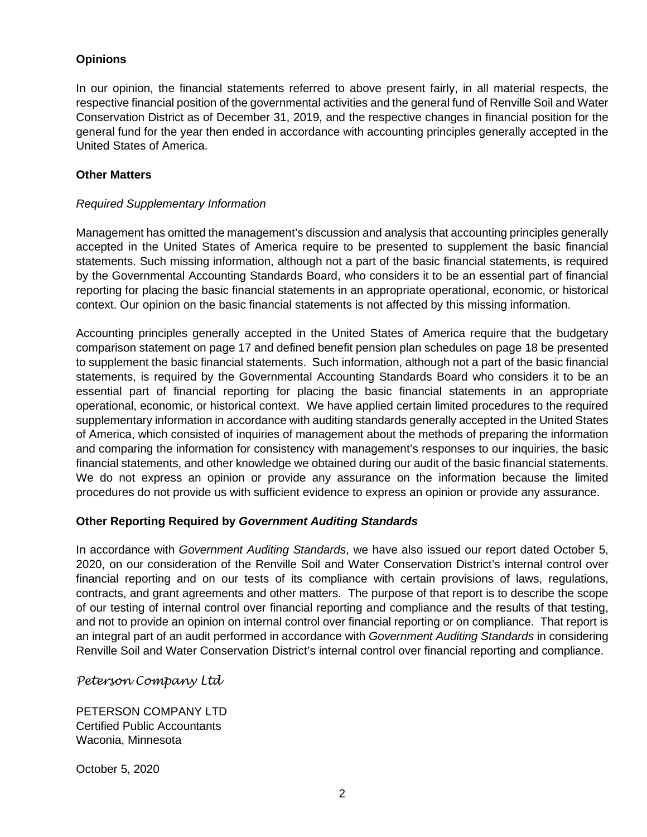## **Opinions**

In our opinion, the financial statements referred to above present fairly, in all material respects, the respective financial position of the governmental activities and the general fund of Renville Soil and Water Conservation District as of December 31, 2019, and the respective changes in financial position for the general fund for the year then ended in accordance with accounting principles generally accepted in the United States of America.

#### **Other Matters**

#### *Required Supplementary Information*

Management has omitted the management's discussion and analysis that accounting principles generally accepted in the United States of America require to be presented to supplement the basic financial statements. Such missing information, although not a part of the basic financial statements, is required by the Governmental Accounting Standards Board, who considers it to be an essential part of financial reporting for placing the basic financial statements in an appropriate operational, economic, or historical context. Our opinion on the basic financial statements is not affected by this missing information.

Accounting principles generally accepted in the United States of America require that the budgetary comparison statement on page 17 and defined benefit pension plan schedules on page 18 be presented to supplement the basic financial statements. Such information, although not a part of the basic financial statements, is required by the Governmental Accounting Standards Board who considers it to be an essential part of financial reporting for placing the basic financial statements in an appropriate operational, economic, or historical context. We have applied certain limited procedures to the required supplementary information in accordance with auditing standards generally accepted in the United States of America, which consisted of inquiries of management about the methods of preparing the information and comparing the information for consistency with management's responses to our inquiries, the basic financial statements, and other knowledge we obtained during our audit of the basic financial statements. We do not express an opinion or provide any assurance on the information because the limited procedures do not provide us with sufficient evidence to express an opinion or provide any assurance.

## **Other Reporting Required by** *Government Auditing Standards*

In accordance with *Government Auditing Standards*, we have also issued our report dated October 5, 2020, on our consideration of the Renville Soil and Water Conservation District's internal control over financial reporting and on our tests of its compliance with certain provisions of laws, regulations, contracts, and grant agreements and other matters. The purpose of that report is to describe the scope of our testing of internal control over financial reporting and compliance and the results of that testing, and not to provide an opinion on internal control over financial reporting or on compliance. That report is an integral part of an audit performed in accordance with *Government Auditing Standards* in considering Renville Soil and Water Conservation District's internal control over financial reporting and compliance.

*Peterson Company Ltd*

PETERSON COMPANY LTD Certified Public Accountants Waconia, Minnesota

October 5, 2020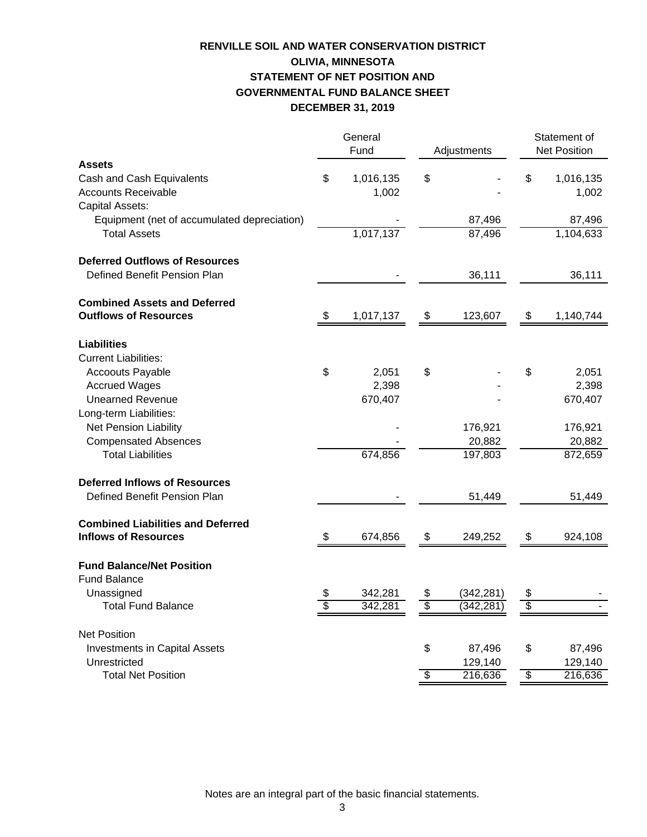# **RENVILLE SOIL AND WATER CONSERVATION DISTRICT OLIVIA, MINNESOTA STATEMENT OF NET POSITION AND GOVERNMENTAL FUND BALANCE SHEET DECEMBER 31, 2019**

| <b>Assets</b><br>\$<br>1,016,135<br>\$<br>\$<br>1,016,135<br>Cash and Cash Equivalents<br><b>Accounts Receivable</b><br>1,002<br>1,002<br>Capital Assets:<br>Equipment (net of accumulated depreciation)<br>87,496<br>87,496<br>1,017,137<br>87,496<br><b>Total Assets</b><br>1,104,633<br><b>Deferred Outflows of Resources</b><br>Defined Benefit Pension Plan<br>36,111<br>36,111<br><b>Combined Assets and Deferred</b><br><b>Outflows of Resources</b><br>1,017,137<br>123,607<br>1,140,744<br>\$<br>\$<br>\$<br><b>Liabilities</b><br><b>Current Liabilities:</b><br>\$<br>\$<br>\$<br><b>Accoouts Payable</b><br>2,051<br>2,051<br><b>Accrued Wages</b><br>2,398<br>2,398<br><b>Unearned Revenue</b><br>670,407<br>670,407<br>Long-term Liabilities:<br>Net Pension Liability<br>176,921<br>176,921<br><b>Compensated Absences</b><br>20,882<br>20,882<br>197,803<br><b>Total Liabilities</b><br>674,856<br>872,659<br><b>Deferred Inflows of Resources</b><br>Defined Benefit Pension Plan<br>51,449<br>51,449<br><b>Combined Liabilities and Deferred</b><br><b>Inflows of Resources</b><br>\$<br>674,856<br>\$<br>249,252<br>\$<br>924,108<br><b>Fund Balance/Net Position</b><br><b>Fund Balance</b><br>\$<br>342,281<br>\$<br>Unassigned<br>(342, 281)<br>\$<br><b>Total Fund Balance</b><br>342,281<br>\$<br>(342,281)<br>\$<br>P<br><b>Net Position</b><br>\$<br>\$<br>87,496<br><b>Investments in Capital Assets</b><br>87,496<br>Unrestricted<br>129,140<br>129,140<br><b>Total Net Position</b><br>216,636<br>$\boldsymbol{\vartheta}$<br>216,636<br>\$ |  | General<br>Fund | Adjustments | Statement of<br><b>Net Position</b> |
|--------------------------------------------------------------------------------------------------------------------------------------------------------------------------------------------------------------------------------------------------------------------------------------------------------------------------------------------------------------------------------------------------------------------------------------------------------------------------------------------------------------------------------------------------------------------------------------------------------------------------------------------------------------------------------------------------------------------------------------------------------------------------------------------------------------------------------------------------------------------------------------------------------------------------------------------------------------------------------------------------------------------------------------------------------------------------------------------------------------------------------------------------------------------------------------------------------------------------------------------------------------------------------------------------------------------------------------------------------------------------------------------------------------------------------------------------------------------------------------------------------------------------------------------------------------------------|--|-----------------|-------------|-------------------------------------|
|                                                                                                                                                                                                                                                                                                                                                                                                                                                                                                                                                                                                                                                                                                                                                                                                                                                                                                                                                                                                                                                                                                                                                                                                                                                                                                                                                                                                                                                                                                                                                                          |  |                 |             |                                     |
|                                                                                                                                                                                                                                                                                                                                                                                                                                                                                                                                                                                                                                                                                                                                                                                                                                                                                                                                                                                                                                                                                                                                                                                                                                                                                                                                                                                                                                                                                                                                                                          |  |                 |             |                                     |
|                                                                                                                                                                                                                                                                                                                                                                                                                                                                                                                                                                                                                                                                                                                                                                                                                                                                                                                                                                                                                                                                                                                                                                                                                                                                                                                                                                                                                                                                                                                                                                          |  |                 |             |                                     |
|                                                                                                                                                                                                                                                                                                                                                                                                                                                                                                                                                                                                                                                                                                                                                                                                                                                                                                                                                                                                                                                                                                                                                                                                                                                                                                                                                                                                                                                                                                                                                                          |  |                 |             |                                     |
|                                                                                                                                                                                                                                                                                                                                                                                                                                                                                                                                                                                                                                                                                                                                                                                                                                                                                                                                                                                                                                                                                                                                                                                                                                                                                                                                                                                                                                                                                                                                                                          |  |                 |             |                                     |
|                                                                                                                                                                                                                                                                                                                                                                                                                                                                                                                                                                                                                                                                                                                                                                                                                                                                                                                                                                                                                                                                                                                                                                                                                                                                                                                                                                                                                                                                                                                                                                          |  |                 |             |                                     |
|                                                                                                                                                                                                                                                                                                                                                                                                                                                                                                                                                                                                                                                                                                                                                                                                                                                                                                                                                                                                                                                                                                                                                                                                                                                                                                                                                                                                                                                                                                                                                                          |  |                 |             |                                     |
|                                                                                                                                                                                                                                                                                                                                                                                                                                                                                                                                                                                                                                                                                                                                                                                                                                                                                                                                                                                                                                                                                                                                                                                                                                                                                                                                                                                                                                                                                                                                                                          |  |                 |             |                                     |
|                                                                                                                                                                                                                                                                                                                                                                                                                                                                                                                                                                                                                                                                                                                                                                                                                                                                                                                                                                                                                                                                                                                                                                                                                                                                                                                                                                                                                                                                                                                                                                          |  |                 |             |                                     |
|                                                                                                                                                                                                                                                                                                                                                                                                                                                                                                                                                                                                                                                                                                                                                                                                                                                                                                                                                                                                                                                                                                                                                                                                                                                                                                                                                                                                                                                                                                                                                                          |  |                 |             |                                     |
|                                                                                                                                                                                                                                                                                                                                                                                                                                                                                                                                                                                                                                                                                                                                                                                                                                                                                                                                                                                                                                                                                                                                                                                                                                                                                                                                                                                                                                                                                                                                                                          |  |                 |             |                                     |
|                                                                                                                                                                                                                                                                                                                                                                                                                                                                                                                                                                                                                                                                                                                                                                                                                                                                                                                                                                                                                                                                                                                                                                                                                                                                                                                                                                                                                                                                                                                                                                          |  |                 |             |                                     |
|                                                                                                                                                                                                                                                                                                                                                                                                                                                                                                                                                                                                                                                                                                                                                                                                                                                                                                                                                                                                                                                                                                                                                                                                                                                                                                                                                                                                                                                                                                                                                                          |  |                 |             |                                     |
|                                                                                                                                                                                                                                                                                                                                                                                                                                                                                                                                                                                                                                                                                                                                                                                                                                                                                                                                                                                                                                                                                                                                                                                                                                                                                                                                                                                                                                                                                                                                                                          |  |                 |             |                                     |
|                                                                                                                                                                                                                                                                                                                                                                                                                                                                                                                                                                                                                                                                                                                                                                                                                                                                                                                                                                                                                                                                                                                                                                                                                                                                                                                                                                                                                                                                                                                                                                          |  |                 |             |                                     |
|                                                                                                                                                                                                                                                                                                                                                                                                                                                                                                                                                                                                                                                                                                                                                                                                                                                                                                                                                                                                                                                                                                                                                                                                                                                                                                                                                                                                                                                                                                                                                                          |  |                 |             |                                     |
|                                                                                                                                                                                                                                                                                                                                                                                                                                                                                                                                                                                                                                                                                                                                                                                                                                                                                                                                                                                                                                                                                                                                                                                                                                                                                                                                                                                                                                                                                                                                                                          |  |                 |             |                                     |
|                                                                                                                                                                                                                                                                                                                                                                                                                                                                                                                                                                                                                                                                                                                                                                                                                                                                                                                                                                                                                                                                                                                                                                                                                                                                                                                                                                                                                                                                                                                                                                          |  |                 |             |                                     |
|                                                                                                                                                                                                                                                                                                                                                                                                                                                                                                                                                                                                                                                                                                                                                                                                                                                                                                                                                                                                                                                                                                                                                                                                                                                                                                                                                                                                                                                                                                                                                                          |  |                 |             |                                     |
|                                                                                                                                                                                                                                                                                                                                                                                                                                                                                                                                                                                                                                                                                                                                                                                                                                                                                                                                                                                                                                                                                                                                                                                                                                                                                                                                                                                                                                                                                                                                                                          |  |                 |             |                                     |
|                                                                                                                                                                                                                                                                                                                                                                                                                                                                                                                                                                                                                                                                                                                                                                                                                                                                                                                                                                                                                                                                                                                                                                                                                                                                                                                                                                                                                                                                                                                                                                          |  |                 |             |                                     |
|                                                                                                                                                                                                                                                                                                                                                                                                                                                                                                                                                                                                                                                                                                                                                                                                                                                                                                                                                                                                                                                                                                                                                                                                                                                                                                                                                                                                                                                                                                                                                                          |  |                 |             |                                     |
|                                                                                                                                                                                                                                                                                                                                                                                                                                                                                                                                                                                                                                                                                                                                                                                                                                                                                                                                                                                                                                                                                                                                                                                                                                                                                                                                                                                                                                                                                                                                                                          |  |                 |             |                                     |
|                                                                                                                                                                                                                                                                                                                                                                                                                                                                                                                                                                                                                                                                                                                                                                                                                                                                                                                                                                                                                                                                                                                                                                                                                                                                                                                                                                                                                                                                                                                                                                          |  |                 |             |                                     |
|                                                                                                                                                                                                                                                                                                                                                                                                                                                                                                                                                                                                                                                                                                                                                                                                                                                                                                                                                                                                                                                                                                                                                                                                                                                                                                                                                                                                                                                                                                                                                                          |  |                 |             |                                     |
|                                                                                                                                                                                                                                                                                                                                                                                                                                                                                                                                                                                                                                                                                                                                                                                                                                                                                                                                                                                                                                                                                                                                                                                                                                                                                                                                                                                                                                                                                                                                                                          |  |                 |             |                                     |
|                                                                                                                                                                                                                                                                                                                                                                                                                                                                                                                                                                                                                                                                                                                                                                                                                                                                                                                                                                                                                                                                                                                                                                                                                                                                                                                                                                                                                                                                                                                                                                          |  |                 |             |                                     |
|                                                                                                                                                                                                                                                                                                                                                                                                                                                                                                                                                                                                                                                                                                                                                                                                                                                                                                                                                                                                                                                                                                                                                                                                                                                                                                                                                                                                                                                                                                                                                                          |  |                 |             |                                     |
|                                                                                                                                                                                                                                                                                                                                                                                                                                                                                                                                                                                                                                                                                                                                                                                                                                                                                                                                                                                                                                                                                                                                                                                                                                                                                                                                                                                                                                                                                                                                                                          |  |                 |             |                                     |
|                                                                                                                                                                                                                                                                                                                                                                                                                                                                                                                                                                                                                                                                                                                                                                                                                                                                                                                                                                                                                                                                                                                                                                                                                                                                                                                                                                                                                                                                                                                                                                          |  |                 |             |                                     |
|                                                                                                                                                                                                                                                                                                                                                                                                                                                                                                                                                                                                                                                                                                                                                                                                                                                                                                                                                                                                                                                                                                                                                                                                                                                                                                                                                                                                                                                                                                                                                                          |  |                 |             |                                     |
|                                                                                                                                                                                                                                                                                                                                                                                                                                                                                                                                                                                                                                                                                                                                                                                                                                                                                                                                                                                                                                                                                                                                                                                                                                                                                                                                                                                                                                                                                                                                                                          |  |                 |             |                                     |
|                                                                                                                                                                                                                                                                                                                                                                                                                                                                                                                                                                                                                                                                                                                                                                                                                                                                                                                                                                                                                                                                                                                                                                                                                                                                                                                                                                                                                                                                                                                                                                          |  |                 |             |                                     |

Notes are an integral part of the basic financial statements.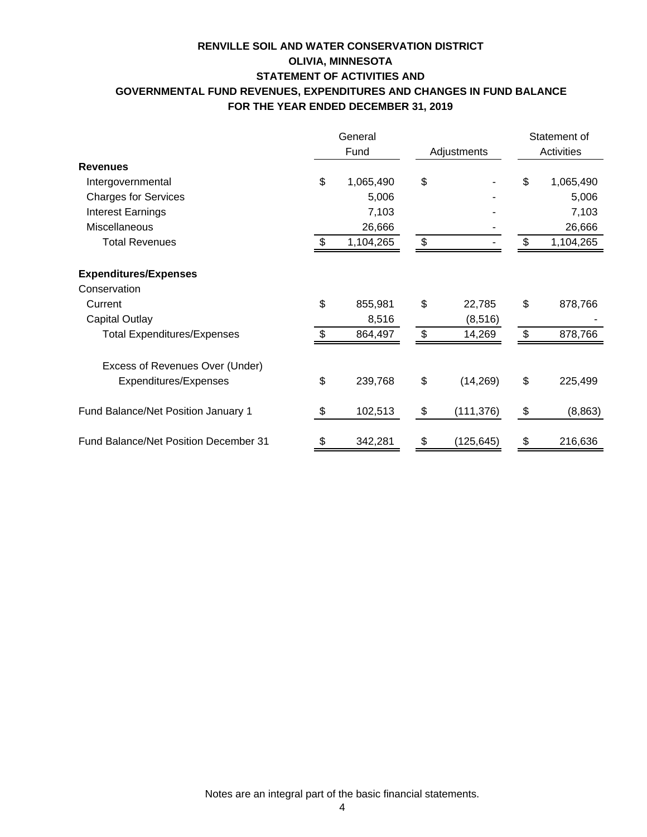# **RENVILLE SOIL AND WATER CONSERVATION DISTRICT OLIVIA, MINNESOTA STATEMENT OF ACTIVITIES AND GOVERNMENTAL FUND REVENUES, EXPENDITURES AND CHANGES IN FUND BALANCE FOR THE YEAR ENDED DECEMBER 31, 2019**

|                                              | General |           |    |             |    | Statement of |  |
|----------------------------------------------|---------|-----------|----|-------------|----|--------------|--|
|                                              | Fund    |           |    | Adjustments |    | Activities   |  |
| <b>Revenues</b>                              |         |           |    |             |    |              |  |
| Intergovernmental                            | \$      | 1,065,490 | \$ |             | \$ | 1,065,490    |  |
| <b>Charges for Services</b>                  |         | 5,006     |    |             |    | 5,006        |  |
| <b>Interest Earnings</b>                     |         | 7,103     |    |             |    | 7,103        |  |
| Miscellaneous                                |         | 26,666    |    |             |    | 26,666       |  |
| <b>Total Revenues</b>                        | \$      | 1,104,265 | \$ |             | \$ | 1,104,265    |  |
| <b>Expenditures/Expenses</b>                 |         |           |    |             |    |              |  |
| Conservation                                 |         |           |    |             |    |              |  |
| Current                                      | \$      | 855,981   | \$ | 22,785      | \$ | 878,766      |  |
| <b>Capital Outlay</b>                        |         | 8,516     |    | (8, 516)    |    |              |  |
| <b>Total Expenditures/Expenses</b>           | \$      | 864,497   | \$ | 14,269      | \$ | 878,766      |  |
| Excess of Revenues Over (Under)              |         |           |    |             |    |              |  |
| Expenditures/Expenses                        | \$      | 239,768   | \$ | (14, 269)   | \$ | 225,499      |  |
| Fund Balance/Net Position January 1          | \$      | 102,513   | \$ | (111, 376)  | \$ | (8, 863)     |  |
| <b>Fund Balance/Net Position December 31</b> | \$      | 342,281   | \$ | (125, 645)  | \$ | 216,636      |  |

Notes are an integral part of the basic financial statements.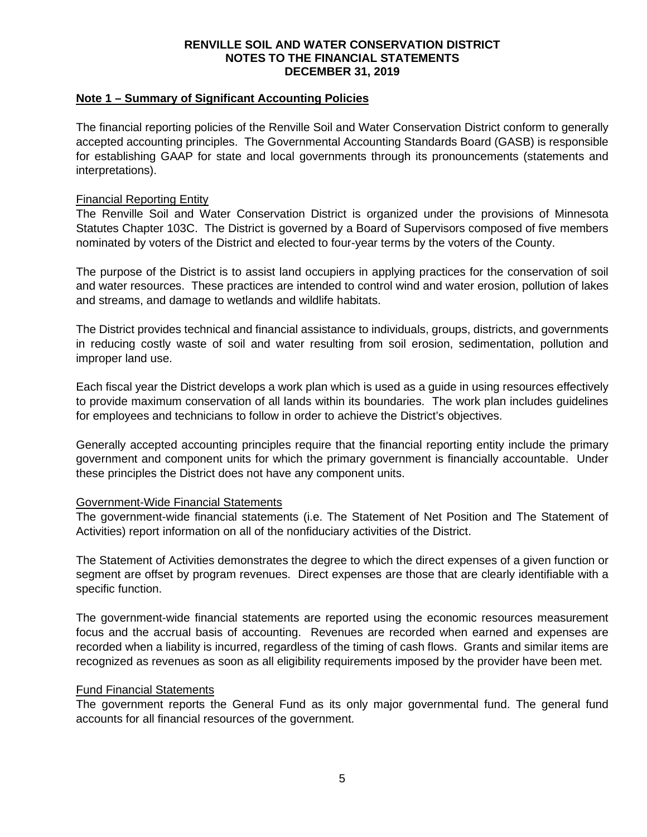#### **Note 1 – Summary of Significant Accounting Policies**

The financial reporting policies of the Renville Soil and Water Conservation District conform to generally accepted accounting principles. The Governmental Accounting Standards Board (GASB) is responsible for establishing GAAP for state and local governments through its pronouncements (statements and interpretations).

#### Financial Reporting Entity

The Renville Soil and Water Conservation District is organized under the provisions of Minnesota Statutes Chapter 103C. The District is governed by a Board of Supervisors composed of five members nominated by voters of the District and elected to four-year terms by the voters of the County.

The purpose of the District is to assist land occupiers in applying practices for the conservation of soil and water resources. These practices are intended to control wind and water erosion, pollution of lakes and streams, and damage to wetlands and wildlife habitats.

The District provides technical and financial assistance to individuals, groups, districts, and governments in reducing costly waste of soil and water resulting from soil erosion, sedimentation, pollution and improper land use.

Each fiscal year the District develops a work plan which is used as a guide in using resources effectively to provide maximum conservation of all lands within its boundaries. The work plan includes guidelines for employees and technicians to follow in order to achieve the District's objectives.

Generally accepted accounting principles require that the financial reporting entity include the primary government and component units for which the primary government is financially accountable. Under these principles the District does not have any component units.

#### Government-Wide Financial Statements

The government-wide financial statements (i.e. The Statement of Net Position and The Statement of Activities) report information on all of the nonfiduciary activities of the District.

The Statement of Activities demonstrates the degree to which the direct expenses of a given function or segment are offset by program revenues. Direct expenses are those that are clearly identifiable with a specific function.

The government-wide financial statements are reported using the economic resources measurement focus and the accrual basis of accounting. Revenues are recorded when earned and expenses are recorded when a liability is incurred, regardless of the timing of cash flows. Grants and similar items are recognized as revenues as soon as all eligibility requirements imposed by the provider have been met.

#### Fund Financial Statements

The government reports the General Fund as its only major governmental fund. The general fund accounts for all financial resources of the government.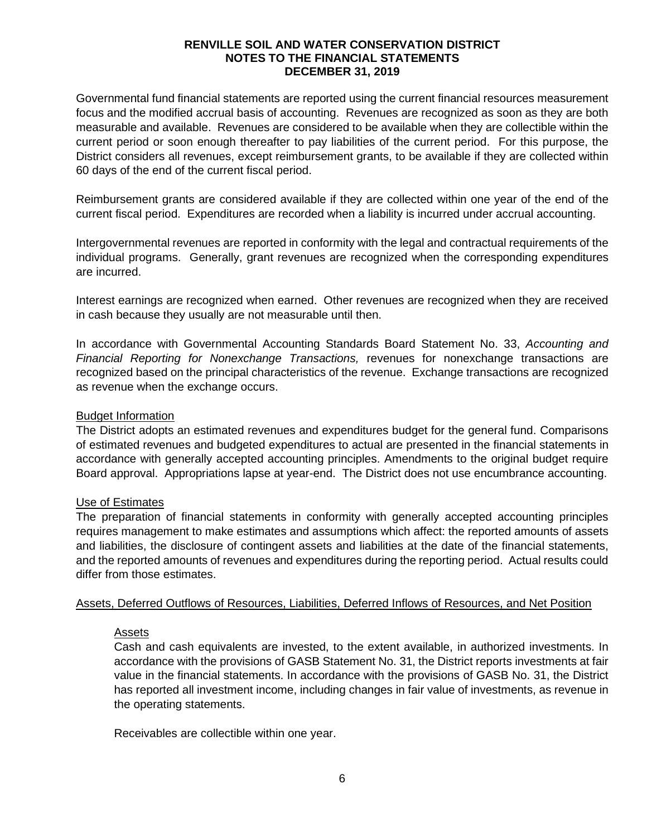Governmental fund financial statements are reported using the current financial resources measurement focus and the modified accrual basis of accounting. Revenues are recognized as soon as they are both measurable and available. Revenues are considered to be available when they are collectible within the current period or soon enough thereafter to pay liabilities of the current period. For this purpose, the District considers all revenues, except reimbursement grants, to be available if they are collected within 60 days of the end of the current fiscal period.

Reimbursement grants are considered available if they are collected within one year of the end of the current fiscal period. Expenditures are recorded when a liability is incurred under accrual accounting.

Intergovernmental revenues are reported in conformity with the legal and contractual requirements of the individual programs. Generally, grant revenues are recognized when the corresponding expenditures are incurred.

Interest earnings are recognized when earned. Other revenues are recognized when they are received in cash because they usually are not measurable until then.

In accordance with Governmental Accounting Standards Board Statement No. 33, *Accounting and Financial Reporting for Nonexchange Transactions,* revenues for nonexchange transactions are recognized based on the principal characteristics of the revenue. Exchange transactions are recognized as revenue when the exchange occurs.

#### Budget Information

The District adopts an estimated revenues and expenditures budget for the general fund. Comparisons of estimated revenues and budgeted expenditures to actual are presented in the financial statements in accordance with generally accepted accounting principles. Amendments to the original budget require Board approval. Appropriations lapse at year-end. The District does not use encumbrance accounting.

## Use of Estimates

The preparation of financial statements in conformity with generally accepted accounting principles requires management to make estimates and assumptions which affect: the reported amounts of assets and liabilities, the disclosure of contingent assets and liabilities at the date of the financial statements, and the reported amounts of revenues and expenditures during the reporting period. Actual results could differ from those estimates.

#### Assets, Deferred Outflows of Resources, Liabilities, Deferred Inflows of Resources, and Net Position

#### Assets

Cash and cash equivalents are invested, to the extent available, in authorized investments. In accordance with the provisions of GASB Statement No. 31, the District reports investments at fair value in the financial statements. In accordance with the provisions of GASB No. 31, the District has reported all investment income, including changes in fair value of investments, as revenue in the operating statements.

Receivables are collectible within one year.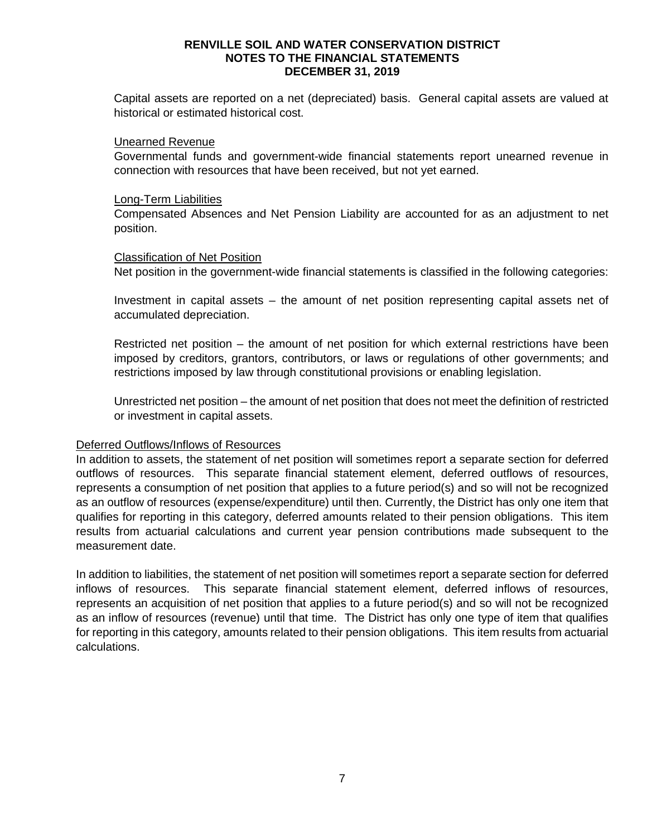Capital assets are reported on a net (depreciated) basis. General capital assets are valued at historical or estimated historical cost.

#### Unearned Revenue

Governmental funds and government-wide financial statements report unearned revenue in connection with resources that have been received, but not yet earned.

#### Long-Term Liabilities

Compensated Absences and Net Pension Liability are accounted for as an adjustment to net position.

#### Classification of Net Position

Net position in the government-wide financial statements is classified in the following categories:

Investment in capital assets – the amount of net position representing capital assets net of accumulated depreciation.

Restricted net position – the amount of net position for which external restrictions have been imposed by creditors, grantors, contributors, or laws or regulations of other governments; and restrictions imposed by law through constitutional provisions or enabling legislation.

Unrestricted net position – the amount of net position that does not meet the definition of restricted or investment in capital assets.

#### Deferred Outflows/Inflows of Resources

In addition to assets, the statement of net position will sometimes report a separate section for deferred outflows of resources. This separate financial statement element, deferred outflows of resources, represents a consumption of net position that applies to a future period(s) and so will not be recognized as an outflow of resources (expense/expenditure) until then. Currently, the District has only one item that qualifies for reporting in this category, deferred amounts related to their pension obligations. This item results from actuarial calculations and current year pension contributions made subsequent to the measurement date.

In addition to liabilities, the statement of net position will sometimes report a separate section for deferred inflows of resources. This separate financial statement element, deferred inflows of resources, represents an acquisition of net position that applies to a future period(s) and so will not be recognized as an inflow of resources (revenue) until that time. The District has only one type of item that qualifies for reporting in this category, amounts related to their pension obligations. This item results from actuarial calculations.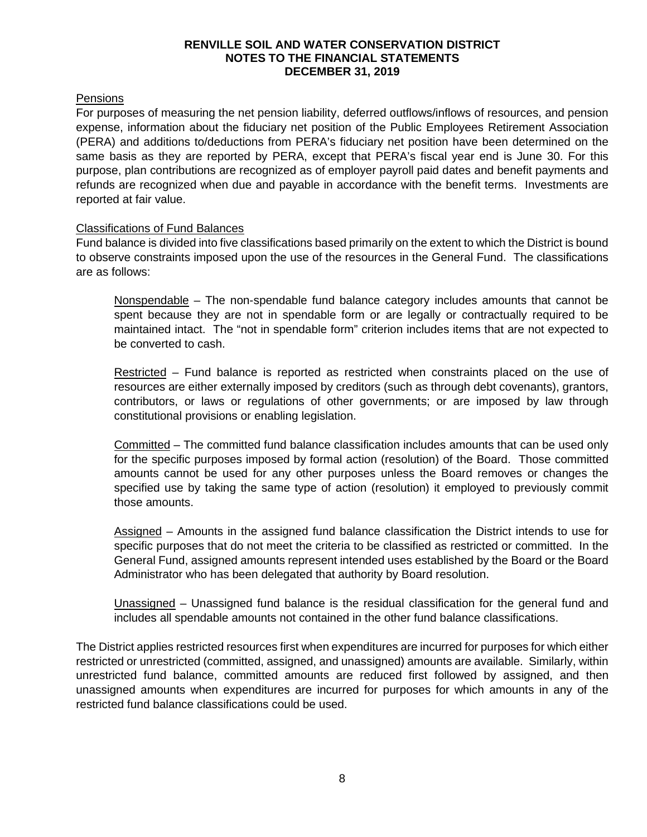## Pensions

For purposes of measuring the net pension liability, deferred outflows/inflows of resources, and pension expense, information about the fiduciary net position of the Public Employees Retirement Association (PERA) and additions to/deductions from PERA's fiduciary net position have been determined on the same basis as they are reported by PERA, except that PERA's fiscal year end is June 30. For this purpose, plan contributions are recognized as of employer payroll paid dates and benefit payments and refunds are recognized when due and payable in accordance with the benefit terms. Investments are reported at fair value.

#### Classifications of Fund Balances

Fund balance is divided into five classifications based primarily on the extent to which the District is bound to observe constraints imposed upon the use of the resources in the General Fund. The classifications are as follows:

Nonspendable – The non-spendable fund balance category includes amounts that cannot be spent because they are not in spendable form or are legally or contractually required to be maintained intact. The "not in spendable form" criterion includes items that are not expected to be converted to cash.

Restricted – Fund balance is reported as restricted when constraints placed on the use of resources are either externally imposed by creditors (such as through debt covenants), grantors, contributors, or laws or regulations of other governments; or are imposed by law through constitutional provisions or enabling legislation.

Committed – The committed fund balance classification includes amounts that can be used only for the specific purposes imposed by formal action (resolution) of the Board. Those committed amounts cannot be used for any other purposes unless the Board removes or changes the specified use by taking the same type of action (resolution) it employed to previously commit those amounts.

Assigned – Amounts in the assigned fund balance classification the District intends to use for specific purposes that do not meet the criteria to be classified as restricted or committed. In the General Fund, assigned amounts represent intended uses established by the Board or the Board Administrator who has been delegated that authority by Board resolution.

Unassigned – Unassigned fund balance is the residual classification for the general fund and includes all spendable amounts not contained in the other fund balance classifications.

The District applies restricted resources first when expenditures are incurred for purposes for which either restricted or unrestricted (committed, assigned, and unassigned) amounts are available. Similarly, within unrestricted fund balance, committed amounts are reduced first followed by assigned, and then unassigned amounts when expenditures are incurred for purposes for which amounts in any of the restricted fund balance classifications could be used.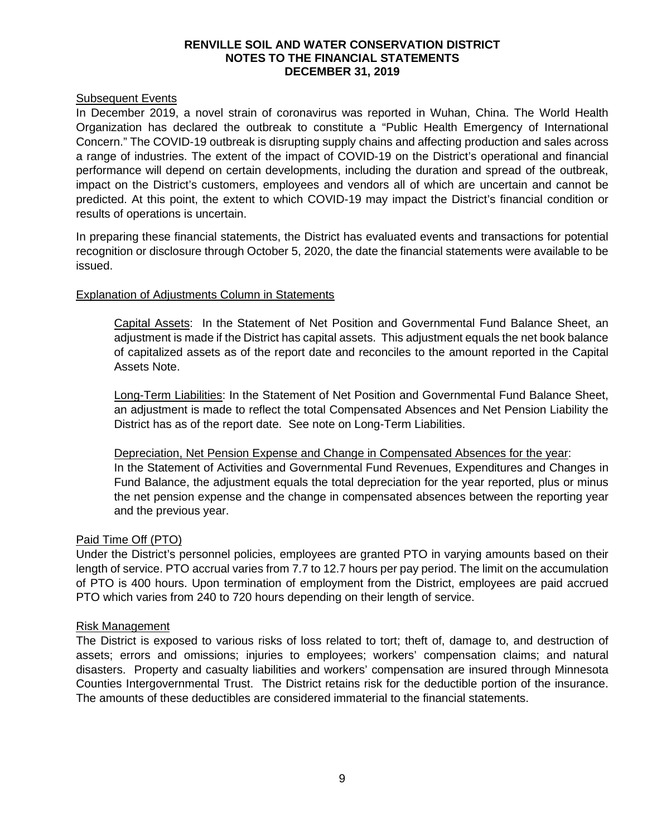#### Subsequent Events

In December 2019, a novel strain of coronavirus was reported in Wuhan, China. The World Health Organization has declared the outbreak to constitute a "Public Health Emergency of International Concern." The COVID-19 outbreak is disrupting supply chains and affecting production and sales across a range of industries. The extent of the impact of COVID-19 on the District's operational and financial performance will depend on certain developments, including the duration and spread of the outbreak, impact on the District's customers, employees and vendors all of which are uncertain and cannot be predicted. At this point, the extent to which COVID-19 may impact the District's financial condition or results of operations is uncertain.

In preparing these financial statements, the District has evaluated events and transactions for potential recognition or disclosure through October 5, 2020, the date the financial statements were available to be issued.

#### Explanation of Adjustments Column in Statements

Capital Assets: In the Statement of Net Position and Governmental Fund Balance Sheet, an adjustment is made if the District has capital assets. This adjustment equals the net book balance of capitalized assets as of the report date and reconciles to the amount reported in the Capital Assets Note.

Long-Term Liabilities: In the Statement of Net Position and Governmental Fund Balance Sheet, an adjustment is made to reflect the total Compensated Absences and Net Pension Liability the District has as of the report date. See note on Long-Term Liabilities.

#### Depreciation, Net Pension Expense and Change in Compensated Absences for the year:

In the Statement of Activities and Governmental Fund Revenues, Expenditures and Changes in Fund Balance, the adjustment equals the total depreciation for the year reported, plus or minus the net pension expense and the change in compensated absences between the reporting year and the previous year.

#### Paid Time Off (PTO)

Under the District's personnel policies, employees are granted PTO in varying amounts based on their length of service. PTO accrual varies from 7.7 to 12.7 hours per pay period. The limit on the accumulation of PTO is 400 hours. Upon termination of employment from the District, employees are paid accrued PTO which varies from 240 to 720 hours depending on their length of service.

#### Risk Management

The District is exposed to various risks of loss related to tort; theft of, damage to, and destruction of assets; errors and omissions; injuries to employees; workers' compensation claims; and natural disasters. Property and casualty liabilities and workers' compensation are insured through Minnesota Counties Intergovernmental Trust. The District retains risk for the deductible portion of the insurance. The amounts of these deductibles are considered immaterial to the financial statements.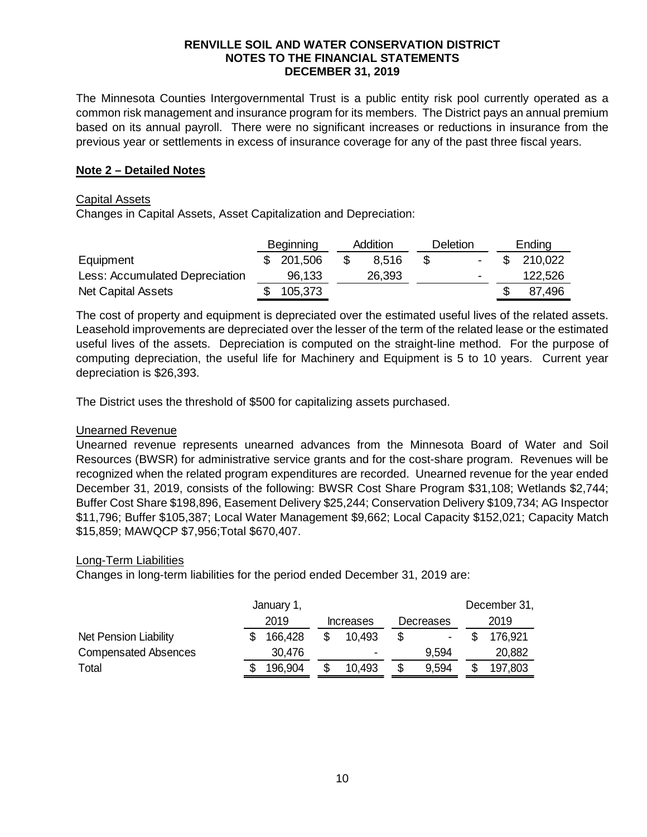The Minnesota Counties Intergovernmental Trust is a public entity risk pool currently operated as a common risk management and insurance program for its members. The District pays an annual premium based on its annual payroll. There were no significant increases or reductions in insurance from the previous year or settlements in excess of insurance coverage for any of the past three fiscal years.

#### **Note 2 – Detailed Notes**

#### Capital Assets

Changes in Capital Assets, Asset Capitalization and Depreciation:

|                                | Beginning |            | Addition |        | Deletion |                          | Ending        |         |
|--------------------------------|-----------|------------|----------|--------|----------|--------------------------|---------------|---------|
| Equipment                      |           | \$ 201.506 |          | 8.516  |          |                          | $\mathcal{S}$ | 210,022 |
| Less: Accumulated Depreciation |           | 96,133     |          | 26,393 |          | $\overline{\phantom{a}}$ |               | 122,526 |
| <b>Net Capital Assets</b>      |           | 105,373    |          |        |          |                          |               | 87,496  |

The cost of property and equipment is depreciated over the estimated useful lives of the related assets. Leasehold improvements are depreciated over the lesser of the term of the related lease or the estimated useful lives of the assets. Depreciation is computed on the straight-line method. For the purpose of computing depreciation, the useful life for Machinery and Equipment is 5 to 10 years. Current year depreciation is \$26,393.

The District uses the threshold of \$500 for capitalizing assets purchased.

#### Unearned Revenue

Unearned revenue represents unearned advances from the Minnesota Board of Water and Soil Resources (BWSR) for administrative service grants and for the cost-share program. Revenues will be recognized when the related program expenditures are recorded. Unearned revenue for the year ended December 31, 2019, consists of the following: BWSR Cost Share Program \$31,108; Wetlands \$2,744; Buffer Cost Share \$198,896, Easement Delivery \$25,244; Conservation Delivery \$109,734; AG Inspector \$11,796; Buffer \$105,387; Local Water Management \$9,662; Local Capacity \$152,021; Capacity Match \$15,859; MAWQCP \$7,956;Total \$670,407.

#### Long-Term Liabilities

Changes in long-term liabilities for the period ended December 31, 2019 are:

|                             | January 1, |                  |           | December 31, |
|-----------------------------|------------|------------------|-----------|--------------|
|                             | 2019       | <b>Increases</b> | Decreases | 2019         |
| Net Pension Liability       | 166,428    | 10.493           |           | 176.921      |
| <b>Compensated Absences</b> | 30,476     |                  | 9.594     | 20,882       |
| Total                       | 196,904    | 10,493           | 9,594     | 197,803      |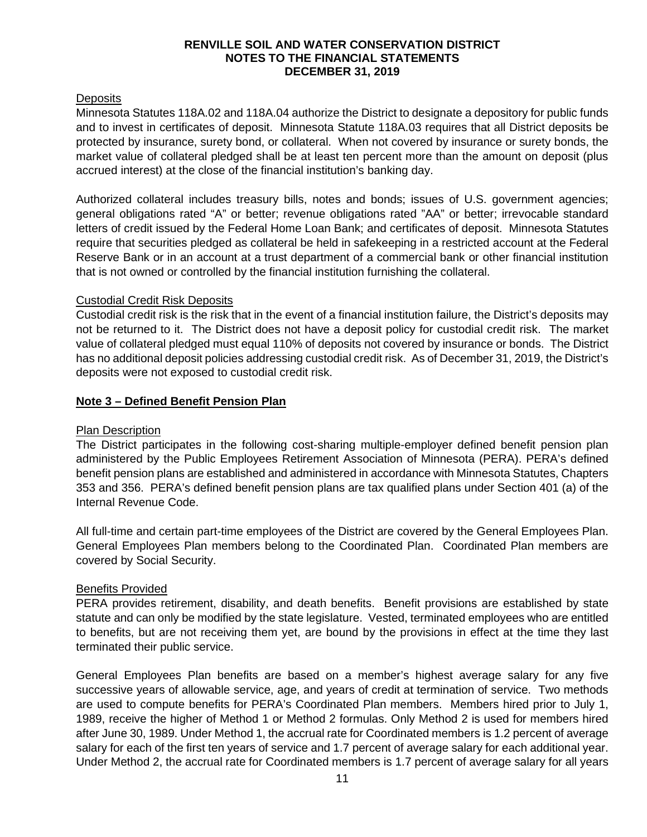## **Deposits**

Minnesota Statutes 118A.02 and 118A.04 authorize the District to designate a depository for public funds and to invest in certificates of deposit. Minnesota Statute 118A.03 requires that all District deposits be protected by insurance, surety bond, or collateral. When not covered by insurance or surety bonds, the market value of collateral pledged shall be at least ten percent more than the amount on deposit (plus accrued interest) at the close of the financial institution's banking day.

Authorized collateral includes treasury bills, notes and bonds; issues of U.S. government agencies; general obligations rated "A" or better; revenue obligations rated "AA" or better; irrevocable standard letters of credit issued by the Federal Home Loan Bank; and certificates of deposit. Minnesota Statutes require that securities pledged as collateral be held in safekeeping in a restricted account at the Federal Reserve Bank or in an account at a trust department of a commercial bank or other financial institution that is not owned or controlled by the financial institution furnishing the collateral.

## Custodial Credit Risk Deposits

Custodial credit risk is the risk that in the event of a financial institution failure, the District's deposits may not be returned to it. The District does not have a deposit policy for custodial credit risk. The market value of collateral pledged must equal 110% of deposits not covered by insurance or bonds. The District has no additional deposit policies addressing custodial credit risk. As of December 31, 2019, the District's deposits were not exposed to custodial credit risk.

## **Note 3 – Defined Benefit Pension Plan**

## **Plan Description**

The District participates in the following cost-sharing multiple-employer defined benefit pension plan administered by the Public Employees Retirement Association of Minnesota (PERA). PERA's defined benefit pension plans are established and administered in accordance with Minnesota Statutes, Chapters 353 and 356. PERA's defined benefit pension plans are tax qualified plans under Section 401 (a) of the Internal Revenue Code.

All full-time and certain part-time employees of the District are covered by the General Employees Plan. General Employees Plan members belong to the Coordinated Plan. Coordinated Plan members are covered by Social Security.

## Benefits Provided

PERA provides retirement, disability, and death benefits. Benefit provisions are established by state statute and can only be modified by the state legislature. Vested, terminated employees who are entitled to benefits, but are not receiving them yet, are bound by the provisions in effect at the time they last terminated their public service.

General Employees Plan benefits are based on a member's highest average salary for any five successive years of allowable service, age, and years of credit at termination of service. Two methods are used to compute benefits for PERA's Coordinated Plan members. Members hired prior to July 1, 1989, receive the higher of Method 1 or Method 2 formulas. Only Method 2 is used for members hired after June 30, 1989. Under Method 1, the accrual rate for Coordinated members is 1.2 percent of average salary for each of the first ten years of service and 1.7 percent of average salary for each additional year. Under Method 2, the accrual rate for Coordinated members is 1.7 percent of average salary for all years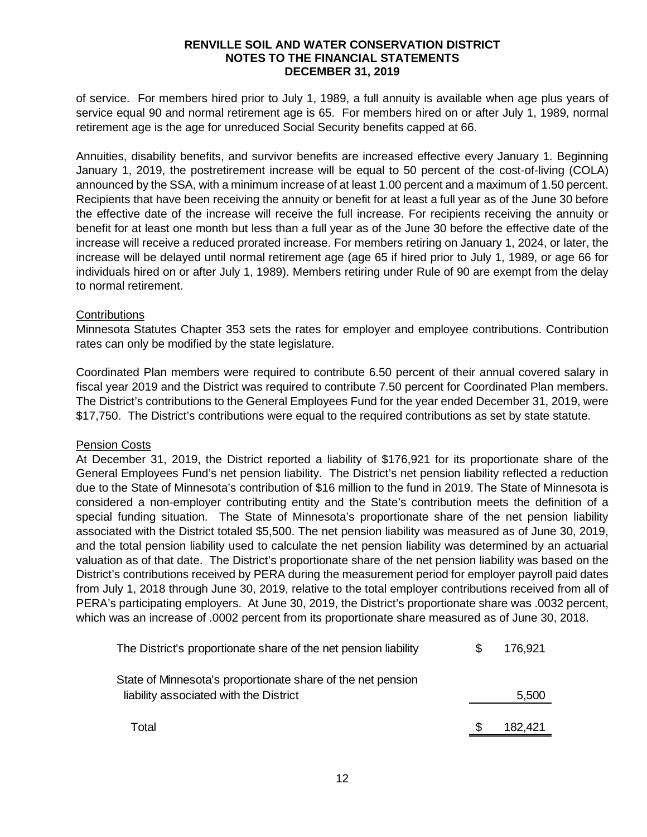of service. For members hired prior to July 1, 1989, a full annuity is available when age plus years of service equal 90 and normal retirement age is 65. For members hired on or after July 1, 1989, normal retirement age is the age for unreduced Social Security benefits capped at 66.

Annuities, disability benefits, and survivor benefits are increased effective every January 1. Beginning January 1, 2019, the postretirement increase will be equal to 50 percent of the cost-of-living (COLA) announced by the SSA, with a minimum increase of at least 1.00 percent and a maximum of 1.50 percent. Recipients that have been receiving the annuity or benefit for at least a full year as of the June 30 before the effective date of the increase will receive the full increase. For recipients receiving the annuity or benefit for at least one month but less than a full year as of the June 30 before the effective date of the increase will receive a reduced prorated increase. For members retiring on January 1, 2024, or later, the increase will be delayed until normal retirement age (age 65 if hired prior to July 1, 1989, or age 66 for individuals hired on or after July 1, 1989). Members retiring under Rule of 90 are exempt from the delay to normal retirement.

## **Contributions**

Minnesota Statutes Chapter 353 sets the rates for employer and employee contributions. Contribution rates can only be modified by the state legislature.

Coordinated Plan members were required to contribute 6.50 percent of their annual covered salary in fiscal year 2019 and the District was required to contribute 7.50 percent for Coordinated Plan members. The District's contributions to the General Employees Fund for the year ended December 31, 2019, were \$17,750. The District's contributions were equal to the required contributions as set by state statute.

## Pension Costs

At December 31, 2019, the District reported a liability of \$176,921 for its proportionate share of the General Employees Fund's net pension liability. The District's net pension liability reflected a reduction due to the State of Minnesota's contribution of \$16 million to the fund in 2019. The State of Minnesota is considered a non-employer contributing entity and the State's contribution meets the definition of a special funding situation. The State of Minnesota's proportionate share of the net pension liability associated with the District totaled \$5,500. The net pension liability was measured as of June 30, 2019, and the total pension liability used to calculate the net pension liability was determined by an actuarial valuation as of that date. The District's proportionate share of the net pension liability was based on the District's contributions received by PERA during the measurement period for employer payroll paid dates from July 1, 2018 through June 30, 2019, relative to the total employer contributions received from all of PERA's participating employers. At June 30, 2019, the District's proportionate share was .0032 percent, which was an increase of .0002 percent from its proportionate share measured as of June 30, 2018.

| The District's proportionate share of the net pension liability | 176,921 |
|-----------------------------------------------------------------|---------|
| State of Minnesota's proportionate share of the net pension     |         |
| liability associated with the District                          | 5,500   |
| Total                                                           | 182,421 |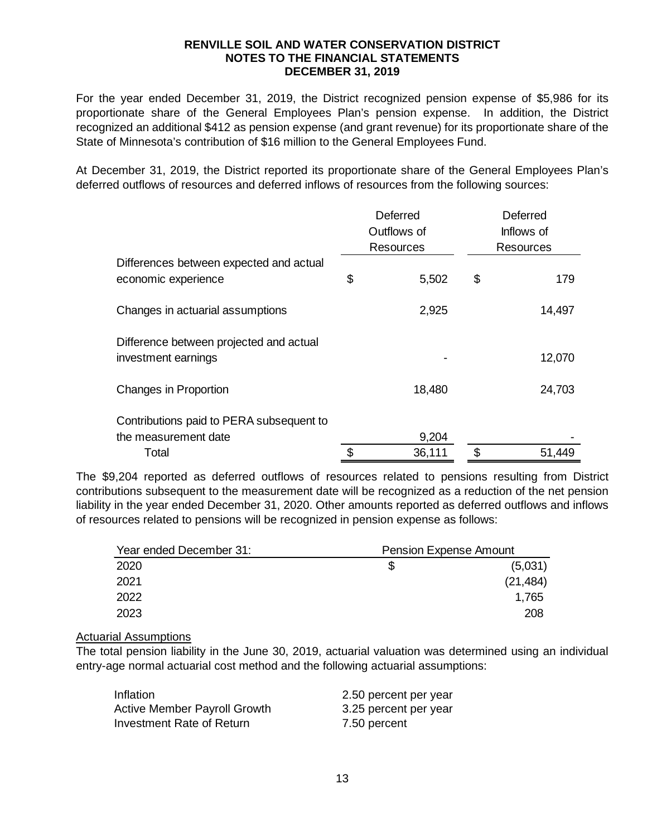For the year ended December 31, 2019, the District recognized pension expense of \$5,986 for its proportionate share of the General Employees Plan's pension expense. In addition, the District recognized an additional \$412 as pension expense (and grant revenue) for its proportionate share of the State of Minnesota's contribution of \$16 million to the General Employees Fund.

At December 31, 2019, the District reported its proportionate share of the General Employees Plan's deferred outflows of resources and deferred inflows of resources from the following sources:

|                                                                  | Deferred<br>Outflows of<br>Resources | Deferred<br>Inflows of<br>Resources |
|------------------------------------------------------------------|--------------------------------------|-------------------------------------|
| Differences between expected and actual<br>economic experience   | \$<br>5,502                          | \$<br>179                           |
| Changes in actuarial assumptions                                 | 2,925                                | 14,497                              |
| Difference between projected and actual<br>investment earnings   |                                      | 12,070                              |
| Changes in Proportion                                            | 18,480                               | 24,703                              |
| Contributions paid to PERA subsequent to<br>the measurement date | 9,204                                |                                     |
| Total                                                            | \$<br>36,111                         | \$<br>51,449                        |

The \$9,204 reported as deferred outflows of resources related to pensions resulting from District contributions subsequent to the measurement date will be recognized as a reduction of the net pension liability in the year ended December 31, 2020. Other amounts reported as deferred outflows and inflows of resources related to pensions will be recognized in pension expense as follows:

| Year ended December 31: | <b>Pension Expense Amount</b> |           |
|-------------------------|-------------------------------|-----------|
| 2020                    |                               | (5,031)   |
| 2021                    |                               | (21, 484) |
| 2022                    |                               | 1.765     |
| 2023                    |                               | 208       |

## Actuarial Assumptions

The total pension liability in the June 30, 2019, actuarial valuation was determined using an individual entry-age normal actuarial cost method and the following actuarial assumptions:

| Inflation                    | 2.50 percent per year |
|------------------------------|-----------------------|
| Active Member Payroll Growth | 3.25 percent per year |
| Investment Rate of Return    | 7.50 percent          |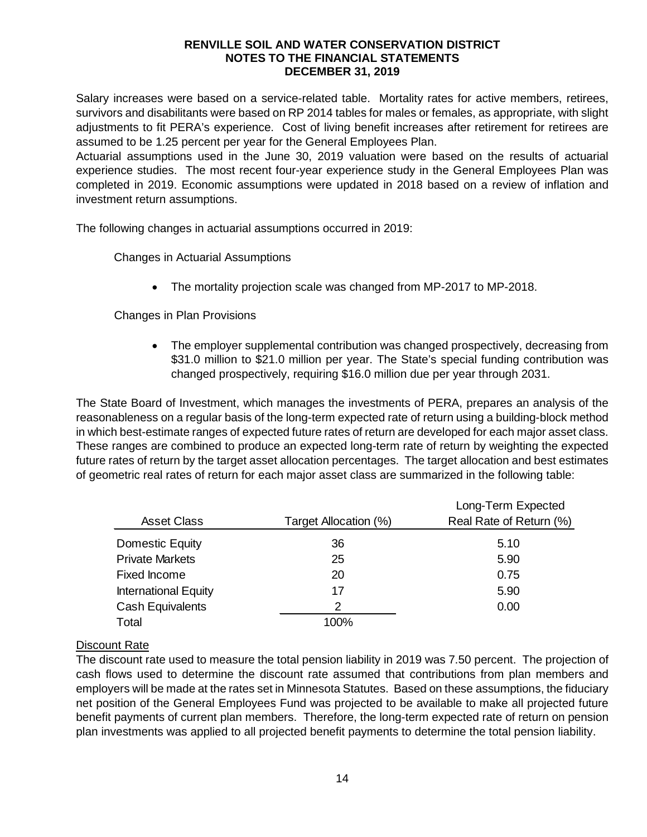Salary increases were based on a service-related table. Mortality rates for active members, retirees, survivors and disabilitants were based on RP 2014 tables for males or females, as appropriate, with slight adjustments to fit PERA's experience. Cost of living benefit increases after retirement for retirees are assumed to be 1.25 percent per year for the General Employees Plan.

Actuarial assumptions used in the June 30, 2019 valuation were based on the results of actuarial experience studies. The most recent four-year experience study in the General Employees Plan was completed in 2019. Economic assumptions were updated in 2018 based on a review of inflation and investment return assumptions.

The following changes in actuarial assumptions occurred in 2019:

Changes in Actuarial Assumptions

• The mortality projection scale was changed from MP-2017 to MP-2018.

Changes in Plan Provisions

• The employer supplemental contribution was changed prospectively, decreasing from \$31.0 million to \$21.0 million per year. The State's special funding contribution was changed prospectively, requiring \$16.0 million due per year through 2031.

The State Board of Investment, which manages the investments of PERA, prepares an analysis of the reasonableness on a regular basis of the long-term expected rate of return using a building-block method in which best-estimate ranges of expected future rates of return are developed for each major asset class. These ranges are combined to produce an expected long-term rate of return by weighting the expected future rates of return by the target asset allocation percentages. The target allocation and best estimates of geometric real rates of return for each major asset class are summarized in the following table:

|                             |                       | Long-Term Expected      |
|-----------------------------|-----------------------|-------------------------|
| <b>Asset Class</b>          | Target Allocation (%) | Real Rate of Return (%) |
| Domestic Equity             | 36                    | 5.10                    |
| <b>Private Markets</b>      | 25                    | 5.90                    |
| Fixed Income                | 20                    | 0.75                    |
| <b>International Equity</b> | 17                    | 5.90                    |
| Cash Equivalents            | 2                     | 0.00                    |
| Total                       | 100%                  |                         |

# Discount Rate

The discount rate used to measure the total pension liability in 2019 was 7.50 percent. The projection of cash flows used to determine the discount rate assumed that contributions from plan members and employers will be made at the rates set in Minnesota Statutes. Based on these assumptions, the fiduciary net position of the General Employees Fund was projected to be available to make all projected future benefit payments of current plan members. Therefore, the long-term expected rate of return on pension plan investments was applied to all projected benefit payments to determine the total pension liability.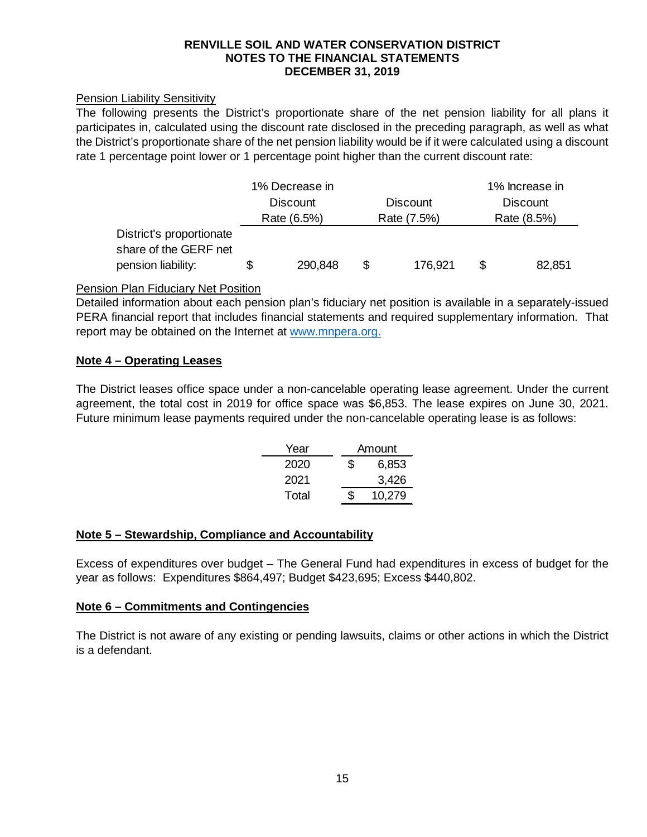## Pension Liability Sensitivity

The following presents the District's proportionate share of the net pension liability for all plans it participates in, calculated using the discount rate disclosed in the preceding paragraph, as well as what the District's proportionate share of the net pension liability would be if it were calculated using a discount rate 1 percentage point lower or 1 percentage point higher than the current discount rate:

|                          | 1% Decrease in  |                 | 1% Increase in  |
|--------------------------|-----------------|-----------------|-----------------|
|                          | <b>Discount</b> | <b>Discount</b> | <b>Discount</b> |
|                          | Rate (6.5%)     | Rate (7.5%)     | Rate (8.5%)     |
| District's proportionate |                 |                 |                 |
| share of the GERF net    |                 |                 |                 |
| pension liability:       | 290,848         | 176,921         | 82,851          |

## Pension Plan Fiduciary Net Position

Detailed information about each pension plan's fiduciary net position is available in a separately-issued PERA financial report that includes financial statements and required supplementary information. That report may be obtained on the Internet at [www.mnpera.org.](http://www.mnpera.org/)

## **Note 4 – Operating Leases**

The District leases office space under a non-cancelable operating lease agreement. Under the current agreement, the total cost in 2019 for office space was \$6,853. The lease expires on June 30, 2021. Future minimum lease payments required under the non-cancelable operating lease is as follows:

| Year  |     | Amount |
|-------|-----|--------|
| 2020  | \$  | 6,853  |
| 2021  |     | 3,426  |
| Total | \$. | 10,279 |

# **Note 5 – Stewardship, Compliance and Accountability**

Excess of expenditures over budget – The General Fund had expenditures in excess of budget for the year as follows: Expenditures \$864,497; Budget \$423,695; Excess \$440,802.

## **Note 6 – Commitments and Contingencies**

The District is not aware of any existing or pending lawsuits, claims or other actions in which the District is a defendant.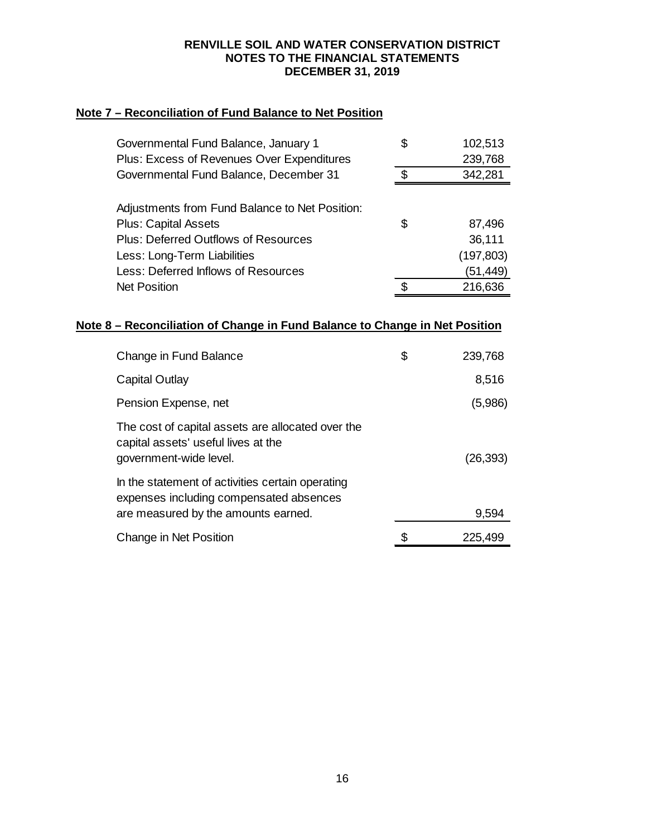# **Note 7 – Reconciliation of Fund Balance to Net Position**

| Governmental Fund Balance, January 1                                                                                                                        | \$                         | 102,513                        |
|-------------------------------------------------------------------------------------------------------------------------------------------------------------|----------------------------|--------------------------------|
| Plus: Excess of Revenues Over Expenditures                                                                                                                  |                            | 239,768                        |
| Governmental Fund Balance, December 31                                                                                                                      | $\boldsymbol{\mathsf{S}}$  | 342,281                        |
| Adjustments from Fund Balance to Net Position:<br><b>Plus: Capital Assets</b><br><b>Plus: Deferred Outflows of Resources</b><br>Less: Long-Term Liabilities | \$                         | 87,496<br>36,111<br>(197, 803) |
| Less: Deferred Inflows of Resources                                                                                                                         |                            | (51, 449)                      |
| <b>Net Position</b>                                                                                                                                         | $\boldsymbol{\mathsf{\$}}$ | 216,636                        |
| Note 8 – Reconciliation of Change in Fund Balance to Change in Net Position                                                                                 |                            |                                |
| Change in Fund Balance                                                                                                                                      | \$                         | 239,768                        |
| <b>Capital Outlay</b>                                                                                                                                       |                            | 8,516                          |
| Pension Expense, net                                                                                                                                        |                            | (5,986)                        |
| The cost of capital assets are allocated over the<br>capital assets' useful lives at the<br>government-wide level.                                          |                            | (26, 393)                      |
| In the statement of activities certain operating<br>expenses including compensated absences<br>are measured by the amounts earned.                          |                            | 9,594                          |
|                                                                                                                                                             |                            |                                |

Change in Net Position **6 225,499**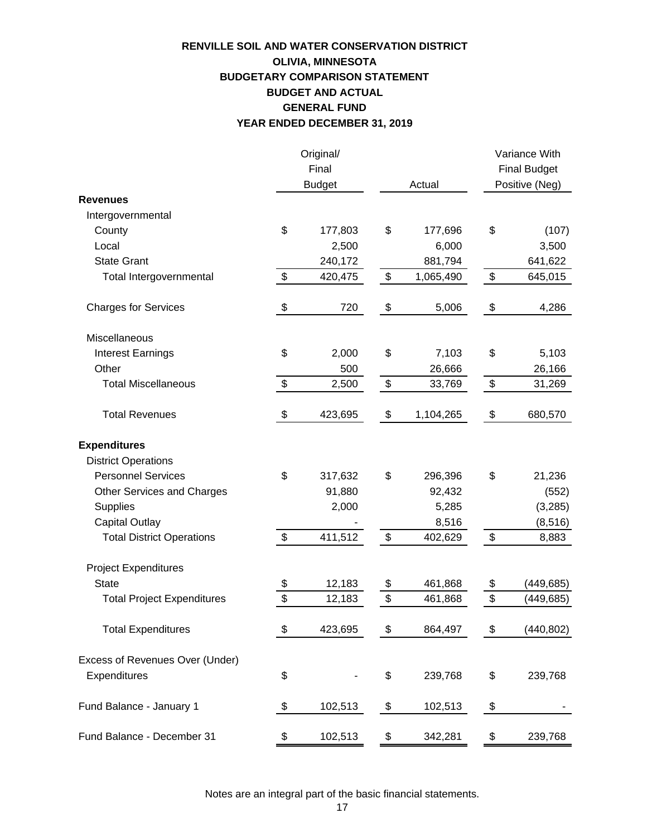# **RENVILLE SOIL AND WATER CONSERVATION DISTRICT OLIVIA, MINNESOTA BUDGETARY COMPARISON STATEMENT BUDGET AND ACTUAL GENERAL FUND YEAR ENDED DECEMBER 31, 2019**

|                                   | Original/<br>Final |    | Variance With<br><b>Final Budget</b> |                |            |  |
|-----------------------------------|--------------------|----|--------------------------------------|----------------|------------|--|
|                                   | <b>Budget</b>      |    | Actual                               | Positive (Neg) |            |  |
| <b>Revenues</b>                   |                    |    |                                      |                |            |  |
| Intergovernmental                 |                    |    |                                      |                |            |  |
| County                            | \$<br>177,803      | \$ | 177,696                              | \$             | (107)      |  |
| Local                             | 2,500              |    | 6,000                                |                | 3,500      |  |
| <b>State Grant</b>                | 240,172            |    | 881,794                              |                | 641,622    |  |
| Total Intergovernmental           | \$<br>420,475      | \$ | 1,065,490                            | \$             | 645,015    |  |
| <b>Charges for Services</b>       | \$<br>720          | \$ | 5,006                                | \$             | 4,286      |  |
| Miscellaneous                     |                    |    |                                      |                |            |  |
| <b>Interest Earnings</b>          | \$<br>2,000        | \$ | 7,103                                | \$             | 5,103      |  |
| Other                             | 500                |    | 26,666                               |                | 26,166     |  |
| <b>Total Miscellaneous</b>        | \$<br>2,500        | \$ | 33,769                               | \$             | 31,269     |  |
| <b>Total Revenues</b>             | \$<br>423,695      | \$ | 1,104,265                            | \$             | 680,570    |  |
| <b>Expenditures</b>               |                    |    |                                      |                |            |  |
| <b>District Operations</b>        |                    |    |                                      |                |            |  |
| <b>Personnel Services</b>         | \$<br>317,632      | \$ | 296,396                              | \$             | 21,236     |  |
| Other Services and Charges        | 91,880             |    | 92,432                               |                | (552)      |  |
| <b>Supplies</b>                   | 2,000              |    | 5,285                                |                | (3, 285)   |  |
| <b>Capital Outlay</b>             |                    |    | 8,516                                |                | (8, 516)   |  |
| <b>Total District Operations</b>  | \$<br>411,512      | \$ | 402,629                              | \$             | 8,883      |  |
| <b>Project Expenditures</b>       |                    |    |                                      |                |            |  |
| <b>State</b>                      | \$<br>12,183       | \$ | 461,868                              | \$             | (449, 685) |  |
| <b>Total Project Expenditures</b> | \$<br>12,183       | \$ | 461,868                              | \$             | (449, 685) |  |
| <b>Total Expenditures</b>         | \$<br>423,695      | \$ | 864,497                              | \$             | (440, 802) |  |
| Excess of Revenues Over (Under)   |                    |    |                                      |                |            |  |
| Expenditures                      | \$                 | \$ | 239,768                              | \$             | 239,768    |  |
| Fund Balance - January 1          | \$<br>102,513      | \$ | 102,513                              | \$             |            |  |
| Fund Balance - December 31        | \$<br>102,513      | \$ | 342,281                              | \$             | 239,768    |  |

Notes are an integral part of the basic financial statements.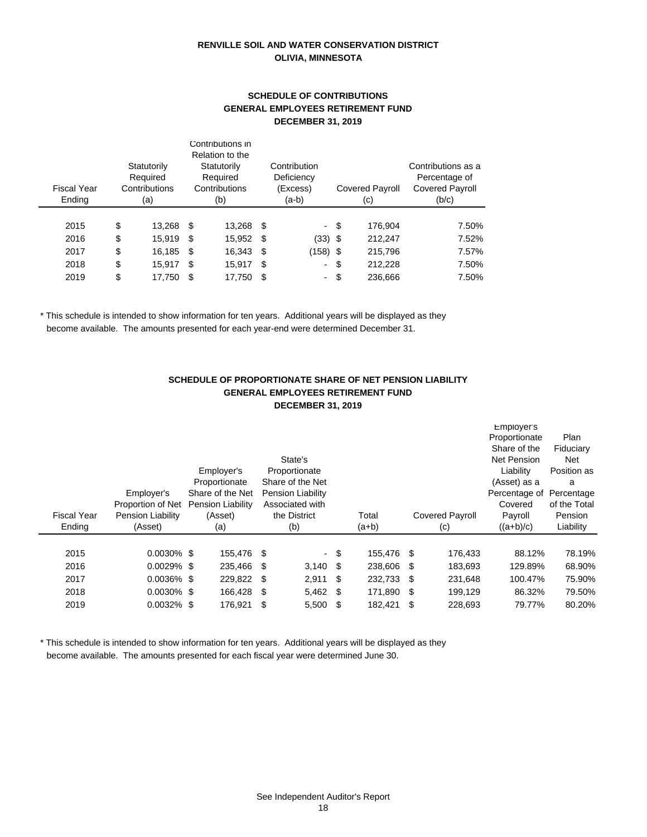#### **RENVILLE SOIL AND WATER CONSERVATION DISTRICT OLIVIA, MINNESOTA**

#### **SCHEDULE OF CONTRIBUTIONS GENERAL EMPLOYEES RETIREMENT FUND DECEMBER 31, 2019**

| Fiscal Year<br>Ending | Statutorily<br>Required<br>Contributions<br>(a) | Contributions in<br>Relation to the<br>Statutorily<br>Required<br>Contributions<br>(b) |        |      | Contribution<br>Deficiency<br>(Excess)<br>(a-b) |     | <b>Covered Payroll</b><br>(c) | Contributions as a<br>Percentage of<br><b>Covered Payroll</b><br>(b/c) |  |
|-----------------------|-------------------------------------------------|----------------------------------------------------------------------------------------|--------|------|-------------------------------------------------|-----|-------------------------------|------------------------------------------------------------------------|--|
| 2015                  | \$<br>13,268                                    | - \$                                                                                   | 13,268 | - \$ | $\sim$                                          | -\$ | 176,904                       | 7.50%                                                                  |  |
| 2016                  | \$<br>15,919                                    | \$                                                                                     | 15,952 | - \$ | $(33)$ \$                                       |     | 212,247                       | 7.52%                                                                  |  |
| 2017                  | \$<br>16,185                                    | - \$                                                                                   | 16,343 | - \$ | (158) \$                                        |     | 215,796                       | 7.57%                                                                  |  |
| 2018                  | \$<br>15.917                                    | \$                                                                                     | 15.917 | \$   | $\sim$                                          | \$  | 212,228                       | 7.50%                                                                  |  |
| 2019                  | \$<br>17,750                                    | \$                                                                                     | 17,750 | \$   | $\sim$                                          | \$  | 236,666                       | 7.50%                                                                  |  |

\* This schedule is intended to show information for ten years. Additional years will be displayed as they become available. The amounts presented for each year-end were determined December 31.

#### **SCHEDULE OF PROPORTIONATE SHARE OF NET PENSION LIABILITY GENERAL EMPLOYEES RETIREMENT FUND DECEMBER 31, 2019**

|                    |                   |                   |     |                   |      |            |      |                        | Employer's    |              |
|--------------------|-------------------|-------------------|-----|-------------------|------|------------|------|------------------------|---------------|--------------|
|                    |                   |                   |     |                   |      |            |      |                        | Proportionate | Plan         |
|                    |                   |                   |     |                   |      |            |      |                        | Share of the  | Fiduciary    |
|                    |                   |                   |     | State's           |      |            |      |                        | Net Pension   | Net          |
|                    |                   | Employer's        |     | Proportionate     |      |            |      |                        | Liability     | Position as  |
|                    |                   | Proportionate     |     | Share of the Net  |      |            |      |                        | (Asset) as a  | a            |
|                    | Employer's        | Share of the Net  |     | Pension Liability |      |            |      |                        | Percentage of | Percentage   |
|                    | Proportion of Net | Pension Liability |     | Associated with   |      |            |      |                        | Covered       | of the Total |
| <b>Fiscal Year</b> | Pension Liability | (Asset)           |     | the District      |      | Total      |      | <b>Covered Payroll</b> | Payroll       | Pension      |
| Ending             | (Asset)           | (a)               |     | (b)               |      | $(a+b)$    |      | (c)                    | $((a+b)/c)$   | Liability    |
|                    |                   |                   |     |                   |      |            |      |                        |               |              |
| 2015               | $0.0030\%$ \$     | 155,476 \$        |     |                   | - \$ | 155.476 \$ |      | 176,433                | 88.12%        | 78.19%       |
| 2016               | $0.0029\%$ \$     | 235,466 \$        |     | $3,140$ \$        |      | 238,606 \$ |      | 183,693                | 129.89%       | 68.90%       |
| 2017               | $0.0036\%$ \$     | 229.822 \$        |     | $2,911$ \$        |      | 232.733 \$ |      | 231,648                | 100.47%       | 75.90%       |
| 2018               | $0.0030\%$ \$     | 166,428           | -\$ | $5,462$ \$        |      | 171,890 \$ |      | 199,129                | 86.32%        | 79.50%       |
| 2019               | $0.0032\%$ \$     | 176,921           | \$  | 5,500             | -\$  | 182.421    | - \$ | 228,693                | 79.77%        | 80.20%       |

\* This schedule is intended to show information for ten years. Additional years will be displayed as they become available. The amounts presented for each fiscal year were determined June 30.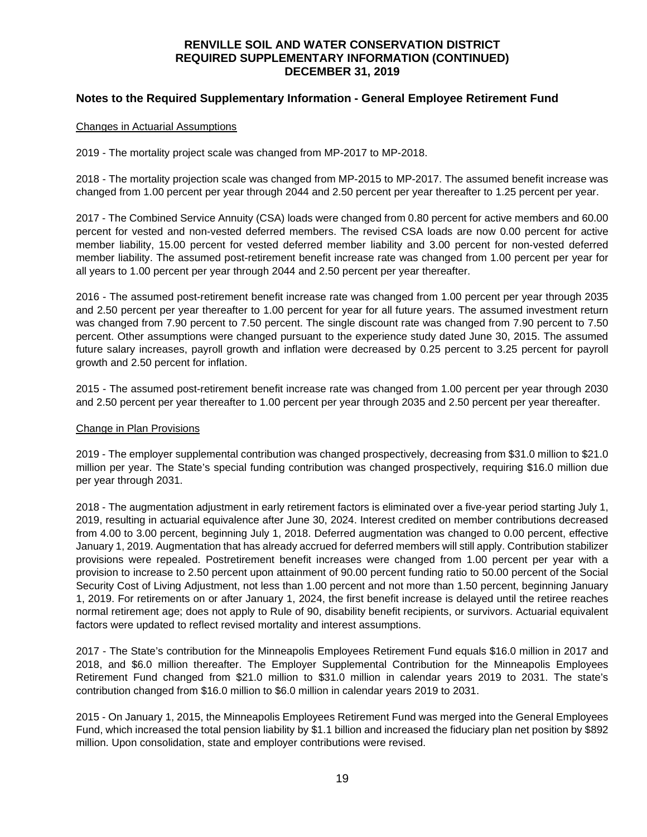#### **RENVILLE SOIL AND WATER CONSERVATION DISTRICT REQUIRED SUPPLEMENTARY INFORMATION (CONTINUED) DECEMBER 31, 2019**

#### **Notes to the Required Supplementary Information - General Employee Retirement Fund**

#### Changes in Actuarial Assumptions

2019 - The mortality project scale was changed from MP-2017 to MP-2018.

2018 - The mortality projection scale was changed from MP-2015 to MP-2017. The assumed benefit increase was changed from 1.00 percent per year through 2044 and 2.50 percent per year thereafter to 1.25 percent per year.

2017 - The Combined Service Annuity (CSA) loads were changed from 0.80 percent for active members and 60.00 percent for vested and non-vested deferred members. The revised CSA loads are now 0.00 percent for active member liability, 15.00 percent for vested deferred member liability and 3.00 percent for non-vested deferred member liability. The assumed post-retirement benefit increase rate was changed from 1.00 percent per year for all years to 1.00 percent per year through 2044 and 2.50 percent per year thereafter.

2016 - The assumed post-retirement benefit increase rate was changed from 1.00 percent per year through 2035 and 2.50 percent per year thereafter to 1.00 percent for year for all future years. The assumed investment return was changed from 7.90 percent to 7.50 percent. The single discount rate was changed from 7.90 percent to 7.50 percent. Other assumptions were changed pursuant to the experience study dated June 30, 2015. The assumed future salary increases, payroll growth and inflation were decreased by 0.25 percent to 3.25 percent for payroll growth and 2.50 percent for inflation.

2015 - The assumed post-retirement benefit increase rate was changed from 1.00 percent per year through 2030 and 2.50 percent per year thereafter to 1.00 percent per year through 2035 and 2.50 percent per year thereafter.

#### Change in Plan Provisions

2019 - The employer supplemental contribution was changed prospectively, decreasing from \$31.0 million to \$21.0 million per year. The State's special funding contribution was changed prospectively, requiring \$16.0 million due per year through 2031.

2018 - The augmentation adjustment in early retirement factors is eliminated over a five-year period starting July 1, 2019, resulting in actuarial equivalence after June 30, 2024. Interest credited on member contributions decreased from 4.00 to 3.00 percent, beginning July 1, 2018. Deferred augmentation was changed to 0.00 percent, effective January 1, 2019. Augmentation that has already accrued for deferred members will still apply. Contribution stabilizer provisions were repealed. Postretirement benefit increases were changed from 1.00 percent per year with a provision to increase to 2.50 percent upon attainment of 90.00 percent funding ratio to 50.00 percent of the Social Security Cost of Living Adjustment, not less than 1.00 percent and not more than 1.50 percent, beginning January 1, 2019. For retirements on or after January 1, 2024, the first benefit increase is delayed until the retiree reaches normal retirement age; does not apply to Rule of 90, disability benefit recipients, or survivors. Actuarial equivalent factors were updated to reflect revised mortality and interest assumptions.

2017 - The State's contribution for the Minneapolis Employees Retirement Fund equals \$16.0 million in 2017 and 2018, and \$6.0 million thereafter. The Employer Supplemental Contribution for the Minneapolis Employees Retirement Fund changed from \$21.0 million to \$31.0 million in calendar years 2019 to 2031. The state's contribution changed from \$16.0 million to \$6.0 million in calendar years 2019 to 2031.

2015 - On January 1, 2015, the Minneapolis Employees Retirement Fund was merged into the General Employees Fund, which increased the total pension liability by \$1.1 billion and increased the fiduciary plan net position by \$892 million. Upon consolidation, state and employer contributions were revised.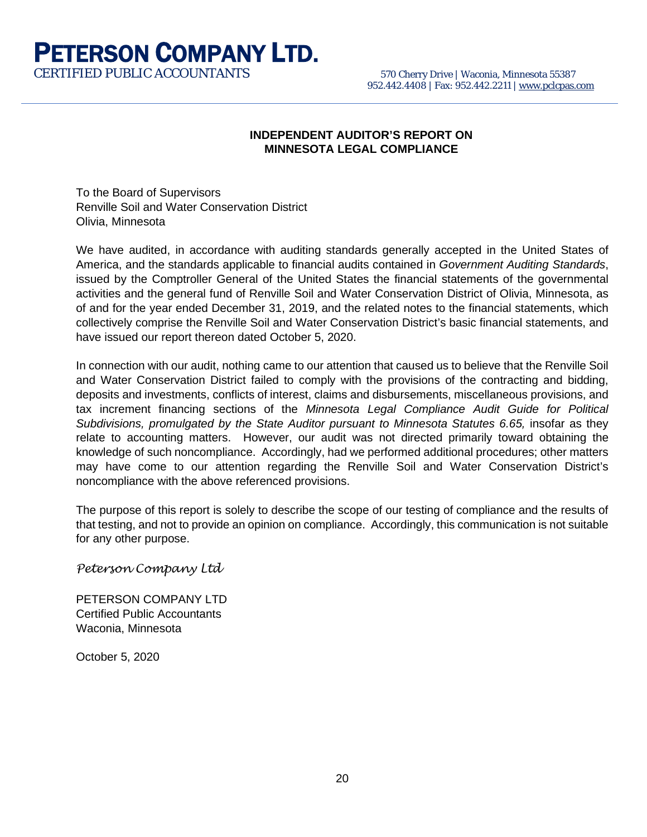# **PETERSON COMPANY LTD.**<br>CERTIFIED PUBLIC ACCOUNTANTS 570 Cherry Drive | Waconia, Minnesota 55387

# **INDEPENDENT AUDITOR'S REPORT ON MINNESOTA LEGAL COMPLIANCE**

To the Board of Supervisors Renville Soil and Water Conservation District Olivia, Minnesota

We have audited, in accordance with auditing standards generally accepted in the United States of America, and the standards applicable to financial audits contained in *Government Auditing Standards*, issued by the Comptroller General of the United States the financial statements of the governmental activities and the general fund of Renville Soil and Water Conservation District of Olivia, Minnesota, as of and for the year ended December 31, 2019, and the related notes to the financial statements, which collectively comprise the Renville Soil and Water Conservation District's basic financial statements, and have issued our report thereon dated October 5, 2020.

In connection with our audit, nothing came to our attention that caused us to believe that the Renville Soil and Water Conservation District failed to comply with the provisions of the contracting and bidding, deposits and investments, conflicts of interest, claims and disbursements, miscellaneous provisions, and tax increment financing sections of the *Minnesota Legal Compliance Audit Guide for Political Subdivisions, promulgated by the State Auditor pursuant to Minnesota Statutes 6.65, insofar as they* relate to accounting matters. However, our audit was not directed primarily toward obtaining the knowledge of such noncompliance. Accordingly, had we performed additional procedures; other matters may have come to our attention regarding the Renville Soil and Water Conservation District's noncompliance with the above referenced provisions.

The purpose of this report is solely to describe the scope of our testing of compliance and the results of that testing, and not to provide an opinion on compliance. Accordingly, this communication is not suitable for any other purpose.

*Peterson Company Ltd*

PETERSON COMPANY LTD Certified Public Accountants Waconia, Minnesota

October 5, 2020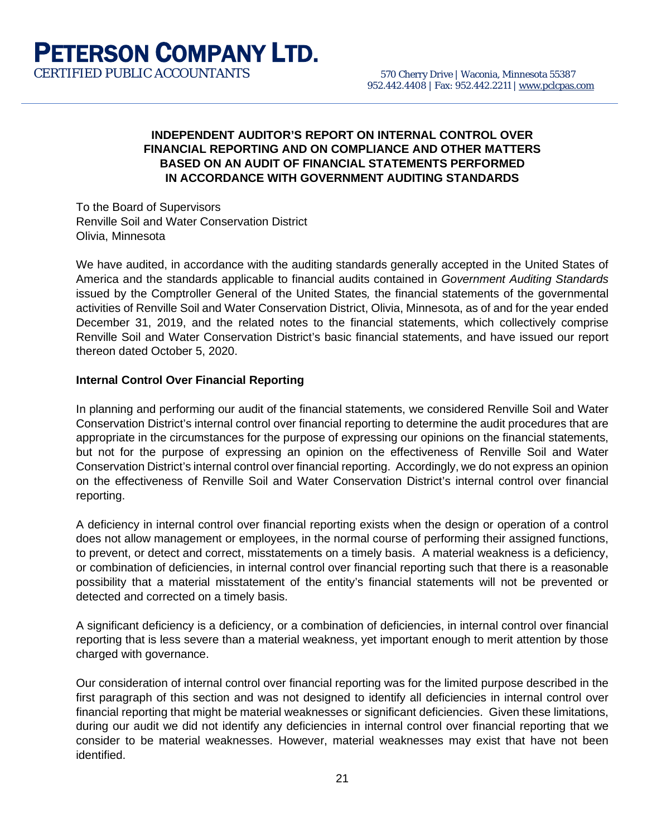# **INDEPENDENT AUDITOR'S REPORT ON INTERNAL CONTROL OVER FINANCIAL REPORTING AND ON COMPLIANCE AND OTHER MATTERS BASED ON AN AUDIT OF FINANCIAL STATEMENTS PERFORMED IN ACCORDANCE WITH GOVERNMENT AUDITING STANDARDS**

To the Board of Supervisors Renville Soil and Water Conservation District Olivia, Minnesota

We have audited, in accordance with the auditing standards generally accepted in the United States of America and the standards applicable to financial audits contained in *Government Auditing Standards*  issued by the Comptroller General of the United States*,* the financial statements of the governmental activities of Renville Soil and Water Conservation District, Olivia, Minnesota, as of and for the year ended December 31, 2019, and the related notes to the financial statements, which collectively comprise Renville Soil and Water Conservation District's basic financial statements, and have issued our report thereon dated October 5, 2020.

# **Internal Control Over Financial Reporting**

In planning and performing our audit of the financial statements, we considered Renville Soil and Water Conservation District's internal control over financial reporting to determine the audit procedures that are appropriate in the circumstances for the purpose of expressing our opinions on the financial statements, but not for the purpose of expressing an opinion on the effectiveness of Renville Soil and Water Conservation District's internal control over financial reporting. Accordingly, we do not express an opinion on the effectiveness of Renville Soil and Water Conservation District's internal control over financial reporting.

A deficiency in internal control over financial reporting exists when the design or operation of a control does not allow management or employees, in the normal course of performing their assigned functions, to prevent, or detect and correct, misstatements on a timely basis. A material weakness is a deficiency, or combination of deficiencies, in internal control over financial reporting such that there is a reasonable possibility that a material misstatement of the entity's financial statements will not be prevented or detected and corrected on a timely basis.

A significant deficiency is a deficiency, or a combination of deficiencies, in internal control over financial reporting that is less severe than a material weakness, yet important enough to merit attention by those charged with governance.

Our consideration of internal control over financial reporting was for the limited purpose described in the first paragraph of this section and was not designed to identify all deficiencies in internal control over financial reporting that might be material weaknesses or significant deficiencies. Given these limitations, during our audit we did not identify any deficiencies in internal control over financial reporting that we consider to be material weaknesses. However, material weaknesses may exist that have not been identified.